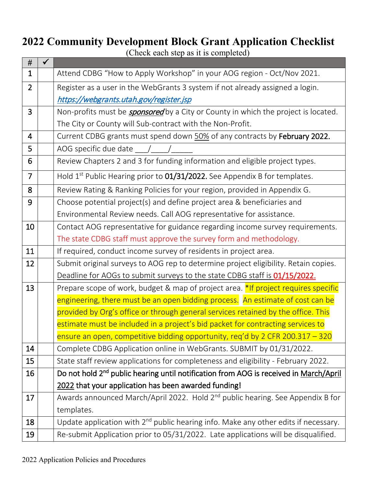## **2022 Community Development Block Grant Application Checklist**

(Check each step as it is completed)

| #              |                                                                                                   |  |  |  |  |  |  |
|----------------|---------------------------------------------------------------------------------------------------|--|--|--|--|--|--|
| $\mathbf{1}$   | Attend CDBG "How to Apply Workshop" in your AOG region - Oct/Nov 2021.                            |  |  |  |  |  |  |
| $\overline{2}$ | Register as a user in the WebGrants 3 system if not already assigned a login.                     |  |  |  |  |  |  |
|                | https://webgrants.utah.gov/register.jsp                                                           |  |  |  |  |  |  |
| 3              | Non-profits must be <b><i>sponsored</i></b> by a City or County in which the project is located.  |  |  |  |  |  |  |
|                | The City or County will Sub-contract with the Non-Profit.                                         |  |  |  |  |  |  |
| 4              | Current CDBG grants must spend down 50% of any contracts by February 2022.                        |  |  |  |  |  |  |
| 5              | AOG specific due date $\angle$                                                                    |  |  |  |  |  |  |
| 6              | Review Chapters 2 and 3 for funding information and eligible project types.                       |  |  |  |  |  |  |
| $\overline{7}$ | Hold 1 <sup>st</sup> Public Hearing prior to 01/31/2022. See Appendix B for templates.            |  |  |  |  |  |  |
| 8              | Review Rating & Ranking Policies for your region, provided in Appendix G.                         |  |  |  |  |  |  |
| 9              | Choose potential project(s) and define project area & beneficiaries and                           |  |  |  |  |  |  |
|                | Environmental Review needs. Call AOG representative for assistance.                               |  |  |  |  |  |  |
| 10             | Contact AOG representative for guidance regarding income survey requirements.                     |  |  |  |  |  |  |
|                | The state CDBG staff must approve the survey form and methodology.                                |  |  |  |  |  |  |
| 11             | If required, conduct income survey of residents in project area.                                  |  |  |  |  |  |  |
| 12             | Submit original surveys to AOG rep to determine project eligibility. Retain copies.               |  |  |  |  |  |  |
|                | Deadline for AOGs to submit surveys to the state CDBG staff is 01/15/2022.                        |  |  |  |  |  |  |
| 13             | Prepare scope of work, budget & map of project area. *If project requires specific                |  |  |  |  |  |  |
|                | engineering, there must be an open bidding process. An estimate of cost can be                    |  |  |  |  |  |  |
|                | provided by Org's office or through general services retained by the office. This                 |  |  |  |  |  |  |
|                | estimate must be included in a project's bid packet for contracting services to                   |  |  |  |  |  |  |
|                | ensure an open, competitive bidding opportunity, reg'd by 2 CFR 200.317 - 320                     |  |  |  |  |  |  |
| 14             | Complete CDBG Application online in WebGrants. SUBMIT by 01/31/2022.                              |  |  |  |  |  |  |
| 15             | State staff review applications for completeness and eligibility - February 2022.                 |  |  |  |  |  |  |
| 16             | Do not hold 2 <sup>nd</sup> public hearing until notification from AOG is received in March/April |  |  |  |  |  |  |
|                | 2022 that your application has been awarded funding!                                              |  |  |  |  |  |  |
| 17             | Awards announced March/April 2022. Hold 2 <sup>nd</sup> public hearing. See Appendix B for        |  |  |  |  |  |  |
|                | templates.                                                                                        |  |  |  |  |  |  |
| 18             | Update application with 2 <sup>nd</sup> public hearing info. Make any other edits if necessary.   |  |  |  |  |  |  |
| 19             | Re-submit Application prior to 05/31/2022. Late applications will be disqualified.                |  |  |  |  |  |  |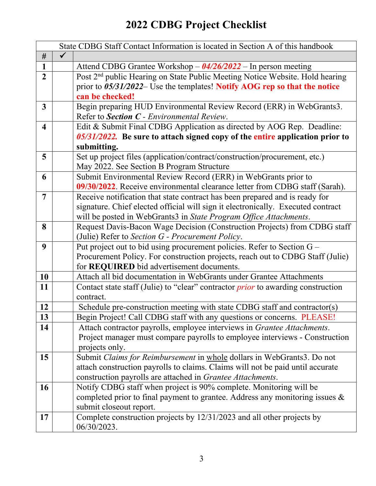# **2022 CDBG Project Checklist**

|                         | State CDBG Staff Contact Information is located in Section A of this handbook                                                    |
|-------------------------|----------------------------------------------------------------------------------------------------------------------------------|
| #                       |                                                                                                                                  |
| 1                       | Attend CDBG Grantee Workshop $-$ 04/26/2022 – In person meeting                                                                  |
| $\overline{2}$          | Post 2 <sup>nd</sup> public Hearing on State Public Meeting Notice Website. Hold hearing                                         |
|                         | prior to $05/31/2022$ – Use the templates! Notify AOG rep so that the notice                                                     |
|                         | can be checked!                                                                                                                  |
| $\overline{3}$          | Begin preparing HUD Environmental Review Record (ERR) in WebGrants3.                                                             |
|                         | Refer to Section C - Environmental Review.                                                                                       |
| $\overline{\mathbf{4}}$ | Edit & Submit Final CDBG Application as directed by AOG Rep. Deadline:                                                           |
|                         | $0.05/31/20.22$ . Be sure to attach signed copy of the entire application prior to                                               |
|                         | submitting.                                                                                                                      |
| 5                       | Set up project files (application/contract/construction/procurement, etc.)                                                       |
|                         | May 2022. See Section B Program Structure                                                                                        |
| 6                       | Submit Environmental Review Record (ERR) in WebGrants prior to                                                                   |
|                         | 09/30/2022. Receive environmental clearance letter from CDBG staff (Sarah).                                                      |
| 7                       | Receive notification that state contract has been prepared and is ready for                                                      |
|                         | signature. Chief elected official will sign it electronically. Executed contract                                                 |
|                         | will be posted in WebGrants3 in State Program Office Attachments.                                                                |
| 8                       | Request Davis-Bacon Wage Decision (Construction Projects) from CDBG staff                                                        |
|                         | (Julie) Refer to Section G - Procurement Policy.                                                                                 |
| $\boldsymbol{9}$        | Put project out to bid using procurement policies. Refer to Section G -                                                          |
|                         | Procurement Policy. For construction projects, reach out to CDBG Staff (Julie)                                                   |
|                         | for REQUIRED bid advertisement documents.                                                                                        |
| 10                      | Attach all bid documentation in WebGrants under Grantee Attachments                                                              |
| 11                      | Contact state staff (Julie) to "clear" contractor <i>prior</i> to awarding construction                                          |
|                         | contract.                                                                                                                        |
| 12                      | Schedule pre-construction meeting with state CDBG staff and contractor(s)                                                        |
| 13                      | Begin Project! Call CDBG staff with any questions or concerns. PLEASE!                                                           |
| 14                      | Attach contractor payrolls, employee interviews in Grantee Attachments.                                                          |
|                         | Project manager must compare payrolls to employee interviews - Construction                                                      |
|                         | projects only.                                                                                                                   |
| 15                      | Submit Claims for Reimbursement in whole dollars in WebGrants3. Do not                                                           |
|                         | attach construction payrolls to claims. Claims will not be paid until accurate                                                   |
| 16                      | construction payrolls are attached in Grantee Attachments.<br>Notify CDBG staff when project is 90% complete. Monitoring will be |
|                         |                                                                                                                                  |
|                         | completed prior to final payment to grantee. Address any monitoring issues $\&$<br>submit closeout report.                       |
| 17                      | Complete construction projects by 12/31/2023 and all other projects by                                                           |
|                         | 06/30/2023.                                                                                                                      |
|                         |                                                                                                                                  |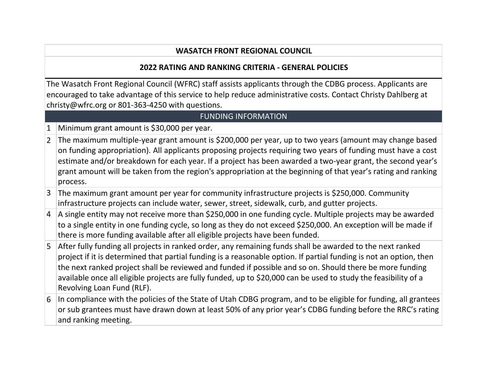## **WASATCH FRONT REGIONAL COUNCIL**

## **2022 RATING AND RANKING CRITERIA - GENERAL POLICIES**

The Wasatch Front Regional Council (WFRC) staff assists applicants through the CDBG process. Applicants are encouraged to take advantage of this service to help reduce administrative costs. Contact Christy Dahlberg at [christy@wfrc.org o](mailto:christy@wfrc.org)r 801-363-4250 with questions.

## FUNDING INFORMATION

1 Minimum grant amount is \$30,000 per year.

- 2 The maximum multiple-year grant amount is \$200,000 per year, up to two years (amount may change based on funding appropriation). All applicants proposing projects requiring two years of funding must have a cost estimate and/or breakdown for each year. If a project has been awarded a two-year grant, the second year's grant amount will be taken from the region's appropriation at the beginning of that year's rating and ranking process.
- 3 The maximum grant amount per year for community infrastructure projects is \$250,000. Community infrastructure projects can include water, sewer, street, sidewalk, curb, and gutter projects.
- $|4|$  A single entity may not receive more than \$250,000 in one funding cycle. Multiple projects may be awarded to a single entity in one funding cycle, so long as they do not exceed \$250,000. An exception will be made if there is more funding available after all eligible projects have been funded.
- 5 After fully funding all projects in ranked order, any remaining funds shall be awarded to the next ranked project if it is determined that partial funding is a reasonable option. If partial funding is not an option, then the next ranked project shall be reviewed and funded if possible and so on. Should there be more funding available once all eligible projects are fully funded, up to \$20,000 can be used to study the feasibility of a Revolving Loan Fund (RLF).
- 6 In compliance with the policies of the State of Utah CDBG program, and to be eligible for funding, all grantees or sub grantees must have drawn down at least 50% of any prior year's CDBG funding before the RRC's rating and ranking meeting.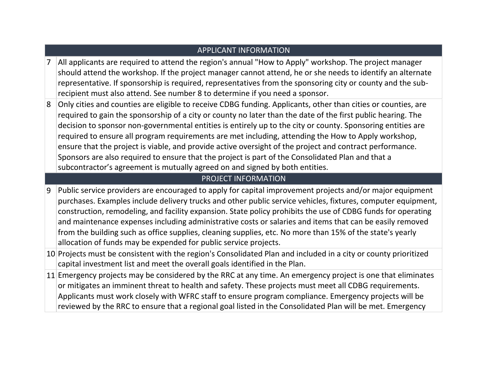|   | <b>APPLICANT INFORMATION</b>                                                                                                                                                                                                                                                                                                                                                                                                                                                                                                                                                                                                                                                                                                                         |
|---|------------------------------------------------------------------------------------------------------------------------------------------------------------------------------------------------------------------------------------------------------------------------------------------------------------------------------------------------------------------------------------------------------------------------------------------------------------------------------------------------------------------------------------------------------------------------------------------------------------------------------------------------------------------------------------------------------------------------------------------------------|
| 7 | All applicants are required to attend the region's annual "How to Apply" workshop. The project manager<br>should attend the workshop. If the project manager cannot attend, he or she needs to identify an alternate<br>representative. If sponsorship is required, representatives from the sponsoring city or county and the sub-<br>recipient must also attend. See number 8 to determine if you need a sponsor.                                                                                                                                                                                                                                                                                                                                  |
| 8 | Only cities and counties are eligible to receive CDBG funding. Applicants, other than cities or counties, are<br>required to gain the sponsorship of a city or county no later than the date of the first public hearing. The<br>decision to sponsor non-governmental entities is entirely up to the city or county. Sponsoring entities are<br>required to ensure all program requirements are met including, attending the How to Apply workshop,<br>ensure that the project is viable, and provide active oversight of the project and contract performance.<br>Sponsors are also required to ensure that the project is part of the Consolidated Plan and that a<br>subcontractor's agreement is mutually agreed on and signed by both entities. |
|   | <b>PROJECT INFORMATION</b>                                                                                                                                                                                                                                                                                                                                                                                                                                                                                                                                                                                                                                                                                                                           |
| 9 | Public service providers are encouraged to apply for capital improvement projects and/or major equipment<br>purchases. Examples include delivery trucks and other public service vehicles, fixtures, computer equipment,<br>construction, remodeling, and facility expansion. State policy prohibits the use of CDBG funds for operating<br>and maintenance expenses including administrative costs or salaries and items that can be easily removed<br>from the building such as office supplies, cleaning supplies, etc. No more than 15% of the state's yearly<br>allocation of funds may be expended for public service projects.                                                                                                                |
|   | 10 Projects must be consistent with the region's Consolidated Plan and included in a city or county prioritized<br>capital investment list and meet the overall goals identified in the Plan.                                                                                                                                                                                                                                                                                                                                                                                                                                                                                                                                                        |
|   | 11 Emergency projects may be considered by the RRC at any time. An emergency project is one that eliminates<br>or mitigates an imminent threat to health and safety. These projects must meet all CDBG requirements.<br>Applicants must work closely with WFRC staff to ensure program compliance. Emergency projects will be<br>reviewed by the RRC to ensure that a regional goal listed in the Consolidated Plan will be met. Emergency                                                                                                                                                                                                                                                                                                           |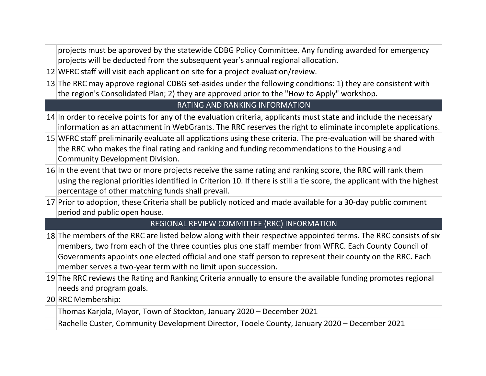projects must be approved by the statewide CDBG Policy Committee. Any funding awarded for emergency projects will be deducted from the subsequent year's annual regional allocation.

- 12 WFRC staff will visit each applicant on site for a project evaluation/review.
- 13 The RRC may approve regional CDBG set-asides under the following conditions: 1) they are consistent with the region's Consolidated Plan; 2) they are approved prior to the "How to Apply" workshop.

#### RATING AND RANKING INFORMATION

- 14 In order to receive points for any of the evaluation criteria, applicants must state and include the necessary information as an attachment in WebGrants. The RRC reserves the right to eliminate incomplete applications.
- 15 WFRC staff preliminarily evaluate all applications using these criteria. The pre-evaluation will be shared with the RRC who makes the final rating and ranking and funding recommendations to the Housing and Community Development Division.
- 16 In the event that two or more projects receive the same rating and ranking score, the RRC will rank them using the regional priorities identified in Criterion 10. If there is still a tie score, the applicant with the highest percentage of other matching funds shall prevail.
- 17 Prior to adoption, these Criteria shall be publicly noticed and made available for a 30-day public comment period and public open house.

## REGIONAL REVIEW COMMITTEE (RRC) INFORMATION

- 18 The members of the RRC are listed below along with their respective appointed terms. The RRC consists of six members, two from each of the three counties plus one staff member from WFRC. Each County Council of Governments appoints one elected official and one staff person to represent their county on the RRC. Each member serves a two-year term with no limit upon succession.
- 19 The RRC reviews the Rating and Ranking Criteria annually to ensure the available funding promotes regional needs and program goals.
- 20 RRC Membership:

Thomas Karjola, Mayor, Town of Stockton, January 2020 – December 2021

Rachelle Custer, Community Development Director, Tooele County, January 2020 – December 2021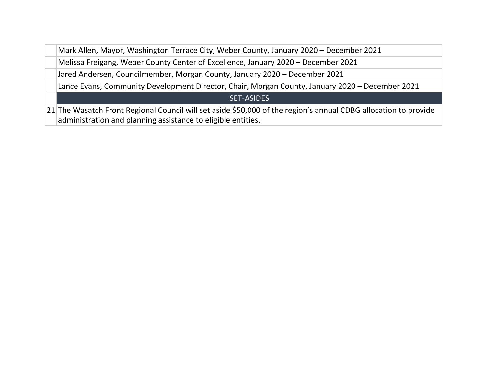Mark Allen, Mayor, Washington Terrace City, Weber County, January 2020 – December 2021

Melissa Freigang, Weber County Center of Excellence, January 2020 – December 2021

Jared Andersen, Councilmember, Morgan County, January 2020 – December 2021

Lance Evans, Community Development Director, Chair, Morgan County, January 2020 – December 2021

#### SET-ASIDES

21 The Wasatch Front Regional Council will set aside \$50,000 of the region's annual CDBG allocation to provide administration and planning assistance to eligible entities.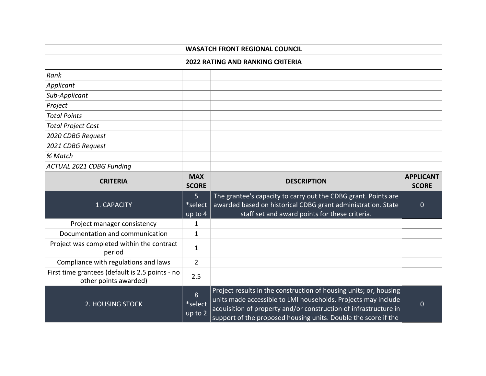| <b>WASATCH FRONT REGIONAL COUNCIL</b>               |                                        |                                                                                                                                                                                  |                                  |  |  |
|-----------------------------------------------------|----------------------------------------|----------------------------------------------------------------------------------------------------------------------------------------------------------------------------------|----------------------------------|--|--|
| <b>2022 RATING AND RANKING CRITERIA</b>             |                                        |                                                                                                                                                                                  |                                  |  |  |
| Rank                                                |                                        |                                                                                                                                                                                  |                                  |  |  |
| Applicant                                           |                                        |                                                                                                                                                                                  |                                  |  |  |
| Sub-Applicant                                       |                                        |                                                                                                                                                                                  |                                  |  |  |
| Project                                             |                                        |                                                                                                                                                                                  |                                  |  |  |
| <b>Total Points</b>                                 |                                        |                                                                                                                                                                                  |                                  |  |  |
| <b>Total Project Cost</b>                           |                                        |                                                                                                                                                                                  |                                  |  |  |
| 2020 CDBG Request                                   |                                        |                                                                                                                                                                                  |                                  |  |  |
| 2021 CDBG Request                                   |                                        |                                                                                                                                                                                  |                                  |  |  |
| % Match                                             |                                        |                                                                                                                                                                                  |                                  |  |  |
| <b>ACTUAL 2021 CDBG Funding</b>                     |                                        |                                                                                                                                                                                  |                                  |  |  |
| <b>CRITERIA</b>                                     | <b>MAX</b><br><b>SCORE</b>             | <b>DESCRIPTION</b>                                                                                                                                                               | <b>APPLICANT</b><br><b>SCORE</b> |  |  |
| 1. CAPACITY                                         | 5 <sup>1</sup><br>*select<br>$up$ to 4 | The grantee's capacity to carry out the CDBG grant. Points are<br>awarded based on historical CDBG grant administration. State<br>staff set and award points for these criteria. | $\overline{0}$                   |  |  |
| Project manager consistency                         | 1                                      |                                                                                                                                                                                  |                                  |  |  |
| Documentation and communication                     | 1                                      |                                                                                                                                                                                  |                                  |  |  |
| Project was completed within the contract<br>period | $\mathbf{1}$                           |                                                                                                                                                                                  |                                  |  |  |
| Compliance with regulations and laws                | $\overline{2}$                         |                                                                                                                                                                                  |                                  |  |  |

Project results in the construction of housing units; or, housing units made accessible to LMI households. Projects may include acquisition of property and/or construction of infrastructure in support of the proposed housing units. Double the score if the

0

First time grantees (default is 2.5 points - no

2. HOUSING STOCK

 $\begin{array}{c|c}\n\text{grant } \text{ess (density is 2.5 points - no)} & 2.5 \\
\text{other points awarded)} & & \n\end{array}$ 

8 \*select up to 2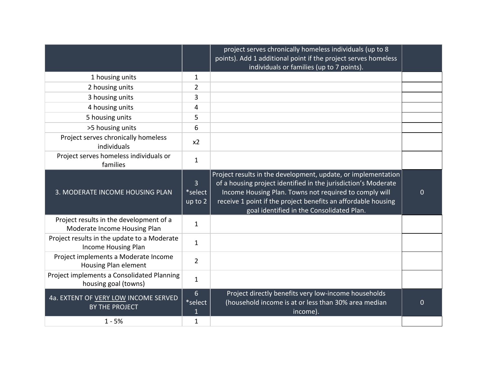|                                                                         |                                      | project serves chronically homeless individuals (up to 8<br>points). Add 1 additional point if the project serves homeless<br>individuals or families (up to 7 points).                                                                                                                                 |          |
|-------------------------------------------------------------------------|--------------------------------------|---------------------------------------------------------------------------------------------------------------------------------------------------------------------------------------------------------------------------------------------------------------------------------------------------------|----------|
| 1 housing units                                                         | $\mathbf{1}$                         |                                                                                                                                                                                                                                                                                                         |          |
| 2 housing units                                                         | 2                                    |                                                                                                                                                                                                                                                                                                         |          |
| 3 housing units                                                         | 3                                    |                                                                                                                                                                                                                                                                                                         |          |
| 4 housing units                                                         | 4                                    |                                                                                                                                                                                                                                                                                                         |          |
| 5 housing units                                                         | 5                                    |                                                                                                                                                                                                                                                                                                         |          |
| >5 housing units                                                        | 6                                    |                                                                                                                                                                                                                                                                                                         |          |
| Project serves chronically homeless<br>individuals                      | x <sub>2</sub>                       |                                                                                                                                                                                                                                                                                                         |          |
| Project serves homeless individuals or<br>families                      | $\mathbf{1}$                         |                                                                                                                                                                                                                                                                                                         |          |
| 3. MODERATE INCOME HOUSING PLAN                                         | $\overline{3}$<br>*select<br>up to 2 | Project results in the development, update, or implementation<br>of a housing project identified in the jurisdiction's Moderate<br>Income Housing Plan. Towns not required to comply will<br>receive 1 point if the project benefits an affordable housing<br>goal identified in the Consolidated Plan. | 0        |
| Project results in the development of a<br>Moderate Income Housing Plan | $\mathbf{1}$                         |                                                                                                                                                                                                                                                                                                         |          |
| Project results in the update to a Moderate<br>Income Housing Plan      | $\mathbf{1}$                         |                                                                                                                                                                                                                                                                                                         |          |
| Project implements a Moderate Income<br>Housing Plan element            | $\overline{2}$                       |                                                                                                                                                                                                                                                                                                         |          |
| Project implements a Consolidated Planning<br>housing goal (towns)      | $\mathbf{1}$                         |                                                                                                                                                                                                                                                                                                         |          |
| 4a. EXTENT OF VERY LOW INCOME SERVED<br><b>BY THE PROJECT</b>           | 6<br>*select<br>1                    | Project directly benefits very low-income households<br>(household income is at or less than 30% area median<br>income).                                                                                                                                                                                | $\Omega$ |
| $1 - 5%$                                                                | 1                                    |                                                                                                                                                                                                                                                                                                         |          |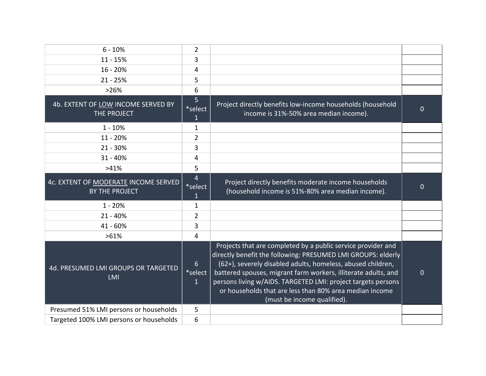| $6 - 10%$                                                     | $\overline{2}$               |                                                                                                                                                                                                                                                                                                                                                                                                                         |          |
|---------------------------------------------------------------|------------------------------|-------------------------------------------------------------------------------------------------------------------------------------------------------------------------------------------------------------------------------------------------------------------------------------------------------------------------------------------------------------------------------------------------------------------------|----------|
| $11 - 15%$                                                    | 3                            |                                                                                                                                                                                                                                                                                                                                                                                                                         |          |
| $16 - 20%$                                                    | 4                            |                                                                                                                                                                                                                                                                                                                                                                                                                         |          |
| $21 - 25%$                                                    | 5                            |                                                                                                                                                                                                                                                                                                                                                                                                                         |          |
| >26%                                                          | 6                            |                                                                                                                                                                                                                                                                                                                                                                                                                         |          |
| 4b. EXTENT OF LOW INCOME SERVED BY<br>THE PROJECT             | 5<br>*select<br>$\mathbf{1}$ | Project directly benefits low-income households (household<br>income is 31%-50% area median income).                                                                                                                                                                                                                                                                                                                    | $\Omega$ |
| $1 - 10%$                                                     | 1                            |                                                                                                                                                                                                                                                                                                                                                                                                                         |          |
| 11 - 20%                                                      | $\overline{2}$               |                                                                                                                                                                                                                                                                                                                                                                                                                         |          |
| $21 - 30%$                                                    | 3                            |                                                                                                                                                                                                                                                                                                                                                                                                                         |          |
| $31 - 40%$                                                    | 4                            |                                                                                                                                                                                                                                                                                                                                                                                                                         |          |
| >41%                                                          | 5                            |                                                                                                                                                                                                                                                                                                                                                                                                                         |          |
| 4c. EXTENT OF MODERATE INCOME SERVED<br><b>BY THE PROJECT</b> | 4<br>*select                 | Project directly benefits moderate income households<br>(household income is 51%-80% area median income).                                                                                                                                                                                                                                                                                                               | 0        |
| $1 - 20%$                                                     | 1                            |                                                                                                                                                                                                                                                                                                                                                                                                                         |          |
| $21 - 40%$                                                    | $\overline{2}$               |                                                                                                                                                                                                                                                                                                                                                                                                                         |          |
| 41 - 60%                                                      | 3                            |                                                                                                                                                                                                                                                                                                                                                                                                                         |          |
| $>61\%$                                                       | 4                            |                                                                                                                                                                                                                                                                                                                                                                                                                         |          |
| 4d. PRESUMED LMI GROUPS OR TARGETED<br><b>LMI</b>             | 6<br>*select<br>$\mathbf{1}$ | Projects that are completed by a public service provider and<br>directly benefit the following: PRESUMED LMI GROUPS: elderly<br>(62+), severely disabled adults, homeless, abused children,<br>battered spouses, migrant farm workers, illiterate adults, and<br>persons living w/AIDS. TARGETED LMI: project targets persons<br>or households that are less than 80% area median income<br>(must be income qualified). | 0        |
| Presumed 51% LMI persons or households                        | 5                            |                                                                                                                                                                                                                                                                                                                                                                                                                         |          |
| Targeted 100% LMI persons or households                       | 6                            |                                                                                                                                                                                                                                                                                                                                                                                                                         |          |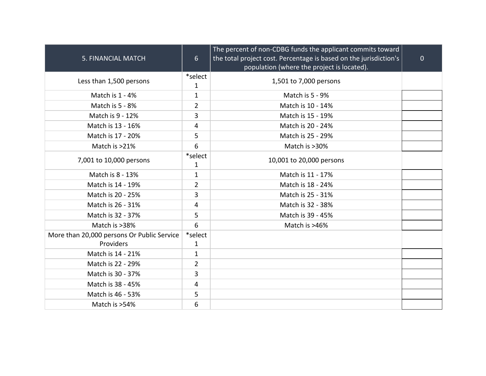| 5. FINANCIAL MATCH                                      | $6 \overline{6}$        | The percent of non-CDBG funds the applicant commits toward<br>the total project cost. Percentage is based on the jurisdiction's<br>population (where the project is located). | $\overline{0}$ |
|---------------------------------------------------------|-------------------------|-------------------------------------------------------------------------------------------------------------------------------------------------------------------------------|----------------|
| Less than 1,500 persons                                 | *select<br>$\mathbf{1}$ | 1,501 to 7,000 persons                                                                                                                                                        |                |
| Match is 1 - 4%                                         | $\mathbf{1}$            | Match is 5 - 9%                                                                                                                                                               |                |
| Match is 5 - 8%                                         | $\overline{2}$          | Match is 10 - 14%                                                                                                                                                             |                |
| Match is 9 - 12%                                        | 3                       | Match is 15 - 19%                                                                                                                                                             |                |
| Match is 13 - 16%                                       | 4                       | Match is 20 - 24%                                                                                                                                                             |                |
| Match is 17 - 20%                                       | 5                       | Match is 25 - 29%                                                                                                                                                             |                |
| Match is >21%                                           | 6                       | Match is >30%                                                                                                                                                                 |                |
| 7,001 to 10,000 persons                                 | *select<br>1            | 10,001 to 20,000 persons                                                                                                                                                      |                |
| Match is 8 - 13%                                        | $\mathbf{1}$            | Match is 11 - 17%                                                                                                                                                             |                |
| Match is 14 - 19%                                       | $\overline{2}$          | Match is 18 - 24%                                                                                                                                                             |                |
| Match is 20 - 25%                                       | 3                       | Match is 25 - 31%                                                                                                                                                             |                |
| Match is 26 - 31%                                       | 4                       | Match is 32 - 38%                                                                                                                                                             |                |
| Match is 32 - 37%                                       | 5                       | Match is 39 - 45%                                                                                                                                                             |                |
| Match is >38%                                           | 6                       | Match is >46%                                                                                                                                                                 |                |
| More than 20,000 persons Or Public Service<br>Providers | *select<br>1            |                                                                                                                                                                               |                |
| Match is 14 - 21%                                       | $\mathbf{1}$            |                                                                                                                                                                               |                |
| Match is 22 - 29%                                       | $\overline{2}$          |                                                                                                                                                                               |                |
| Match is 30 - 37%                                       | 3                       |                                                                                                                                                                               |                |
| Match is 38 - 45%                                       | 4                       |                                                                                                                                                                               |                |
| Match is 46 - 53%                                       | 5                       |                                                                                                                                                                               |                |
| Match is >54%                                           | 6                       |                                                                                                                                                                               |                |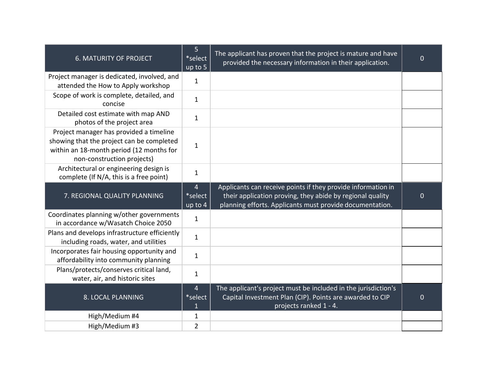| <b>6. MATURITY OF PROJECT</b>                                                                                                                                  | 5<br>*select<br>up to 5        | The applicant has proven that the project is mature and have<br>provided the necessary information in their application.                                                              | $\mathbf{0}$ |
|----------------------------------------------------------------------------------------------------------------------------------------------------------------|--------------------------------|---------------------------------------------------------------------------------------------------------------------------------------------------------------------------------------|--------------|
| Project manager is dedicated, involved, and<br>attended the How to Apply workshop                                                                              | $\mathbf{1}$                   |                                                                                                                                                                                       |              |
| Scope of work is complete, detailed, and<br>concise                                                                                                            | $\mathbf{1}$                   |                                                                                                                                                                                       |              |
| Detailed cost estimate with map AND<br>photos of the project area                                                                                              | $\mathbf{1}$                   |                                                                                                                                                                                       |              |
| Project manager has provided a timeline<br>showing that the project can be completed<br>within an 18-month period (12 months for<br>non-construction projects) | $\mathbf{1}$                   |                                                                                                                                                                                       |              |
| Architectural or engineering design is<br>complete (If N/A, this is a free point)                                                                              | $\mathbf 1$                    |                                                                                                                                                                                       |              |
| 7. REGIONAL QUALITY PLANNING                                                                                                                                   | 4<br>*select<br>up to 4        | Applicants can receive points if they provide information in<br>their application proving, they abide by regional quality<br>planning efforts. Applicants must provide documentation. | $\mathbf{0}$ |
| Coordinates planning w/other governments<br>in accordance w/Wasatch Choice 2050                                                                                | $\mathbf 1$                    |                                                                                                                                                                                       |              |
| Plans and develops infrastructure efficiently<br>including roads, water, and utilities                                                                         | $\mathbf 1$                    |                                                                                                                                                                                       |              |
| Incorporates fair housing opportunity and<br>affordability into community planning                                                                             | $\mathbf 1$                    |                                                                                                                                                                                       |              |
| Plans/protects/conserves critical land,<br>water, air, and historic sites                                                                                      | $\mathbf{1}$                   |                                                                                                                                                                                       |              |
| 8. LOCAL PLANNING                                                                                                                                              | $\overline{4}$<br>*select<br>1 | The applicant's project must be included in the jurisdiction's<br>Capital Investment Plan (CIP). Points are awarded to CIP<br>projects ranked 1 - 4.                                  | $\mathbf{0}$ |
| High/Medium #4                                                                                                                                                 | 1                              |                                                                                                                                                                                       |              |
| High/Medium #3                                                                                                                                                 | $\overline{2}$                 |                                                                                                                                                                                       |              |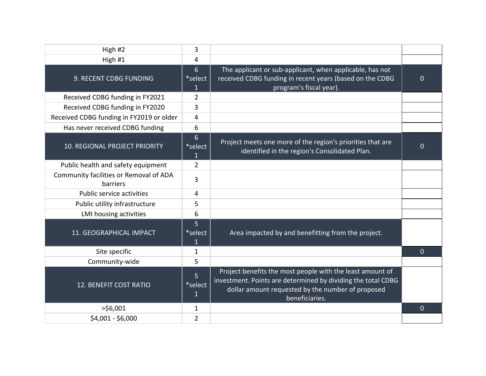| High #2                                            | 3                              |                                                                                                                                                                                                  |                |
|----------------------------------------------------|--------------------------------|--------------------------------------------------------------------------------------------------------------------------------------------------------------------------------------------------|----------------|
| High #1                                            | 4                              |                                                                                                                                                                                                  |                |
| 9. RECENT CDBG FUNDING                             | $6\phantom{1}$<br>*select<br>1 | The applicant or sub-applicant, when applicable, has not<br>received CDBG funding in recent years (based on the CDBG<br>program's fiscal year).                                                  | $\mathbf 0$    |
| Received CDBG funding in FY2021                    | $\overline{2}$                 |                                                                                                                                                                                                  |                |
| Received CDBG funding in FY2020                    | 3                              |                                                                                                                                                                                                  |                |
| Received CDBG funding in FY2019 or older           | 4                              |                                                                                                                                                                                                  |                |
| Has never received CDBG funding                    | 6                              |                                                                                                                                                                                                  |                |
| 10. REGIONAL PROJECT PRIORITY                      | $6\phantom{1}$<br>*select<br>1 | Project meets one more of the region's priorities that are<br>identified in the region's Consolidated Plan.                                                                                      | 0              |
| Public health and safety equipment                 | $\overline{2}$                 |                                                                                                                                                                                                  |                |
| Community facilities or Removal of ADA<br>barriers | 3                              |                                                                                                                                                                                                  |                |
| Public service activities                          | 4                              |                                                                                                                                                                                                  |                |
| Public utility infrastructure                      | 5                              |                                                                                                                                                                                                  |                |
| <b>LMI housing activities</b>                      | 6                              |                                                                                                                                                                                                  |                |
| 11. GEOGRAPHICAL IMPACT                            | 5<br>*select<br>1              | Area impacted by and benefitting from the project.                                                                                                                                               |                |
| Site specific                                      | $\mathbf{1}$                   |                                                                                                                                                                                                  | $\overline{0}$ |
| Community-wide                                     | 5                              |                                                                                                                                                                                                  |                |
| 12. BENEFIT COST RATIO                             | 5<br>*select<br>1              | Project benefits the most people with the least amount of<br>investment. Points are determined by dividing the total CDBG<br>dollar amount requested by the number of proposed<br>beneficiaries. |                |
| $>$ \$6,001                                        | $\mathbf 1$                    |                                                                                                                                                                                                  | $\overline{0}$ |
| \$4,001 - \$6,000                                  | 2                              |                                                                                                                                                                                                  |                |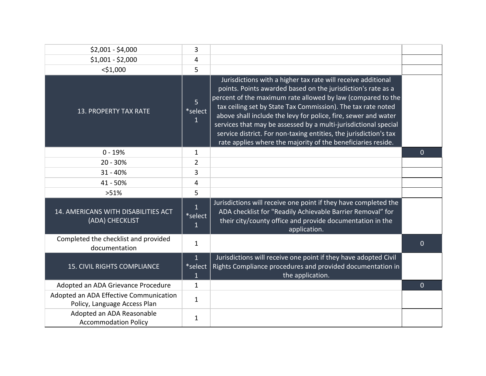| $$2,001 - $4,000$                                                      | 3                                         |                                                                                                                                                                                                                                                                                                                                                                                                                                                                                                                                       |                |
|------------------------------------------------------------------------|-------------------------------------------|---------------------------------------------------------------------------------------------------------------------------------------------------------------------------------------------------------------------------------------------------------------------------------------------------------------------------------------------------------------------------------------------------------------------------------------------------------------------------------------------------------------------------------------|----------------|
| $$1,001 - $2,000$                                                      | 4                                         |                                                                                                                                                                                                                                                                                                                                                                                                                                                                                                                                       |                |
| $<$ \$1,000                                                            | 5                                         |                                                                                                                                                                                                                                                                                                                                                                                                                                                                                                                                       |                |
| <b>13. PROPERTY TAX RATE</b>                                           | $\overline{5}$<br>*select<br>$\mathbf{1}$ | Jurisdictions with a higher tax rate will receive additional<br>points. Points awarded based on the jurisdiction's rate as a<br>percent of the maximum rate allowed by law (compared to the<br>tax ceiling set by State Tax Commission). The tax rate noted<br>above shall include the levy for police, fire, sewer and water<br>services that may be assessed by a multi-jurisdictional special<br>service district. For non-taxing entities, the jurisdiction's tax<br>rate applies where the majority of the beneficiaries reside. |                |
| $0 - 19%$                                                              | 1                                         |                                                                                                                                                                                                                                                                                                                                                                                                                                                                                                                                       | $\overline{0}$ |
| 20 - 30%                                                               | 2                                         |                                                                                                                                                                                                                                                                                                                                                                                                                                                                                                                                       |                |
| $31 - 40%$                                                             | 3                                         |                                                                                                                                                                                                                                                                                                                                                                                                                                                                                                                                       |                |
| 41 - 50%                                                               | 4                                         |                                                                                                                                                                                                                                                                                                                                                                                                                                                                                                                                       |                |
| >51%                                                                   | 5                                         |                                                                                                                                                                                                                                                                                                                                                                                                                                                                                                                                       |                |
| 14. AMERICANS WITH DISABILITIES ACT<br>(ADA) CHECKLIST                 | $\mathbf{1}$<br>*select<br>1              | Jurisdictions will receive one point if they have completed the<br>ADA checklist for "Readily Achievable Barrier Removal" for<br>their city/county office and provide documentation in the<br>application.                                                                                                                                                                                                                                                                                                                            |                |
| Completed the checklist and provided<br>documentation                  | $\mathbf{1}$                              |                                                                                                                                                                                                                                                                                                                                                                                                                                                                                                                                       | $\overline{0}$ |
| <b>15. CIVIL RIGHTS COMPLIANCE</b>                                     | $\overline{1}$<br>*select<br>1            | Jurisdictions will receive one point if they have adopted Civil<br>Rights Compliance procedures and provided documentation in<br>the application.                                                                                                                                                                                                                                                                                                                                                                                     |                |
| Adopted an ADA Grievance Procedure                                     | $\mathbf 1$                               |                                                                                                                                                                                                                                                                                                                                                                                                                                                                                                                                       | $\overline{0}$ |
| Adopted an ADA Effective Communication<br>Policy, Language Access Plan | $\mathbf{1}$                              |                                                                                                                                                                                                                                                                                                                                                                                                                                                                                                                                       |                |
| Adopted an ADA Reasonable<br><b>Accommodation Policy</b>               | 1                                         |                                                                                                                                                                                                                                                                                                                                                                                                                                                                                                                                       |                |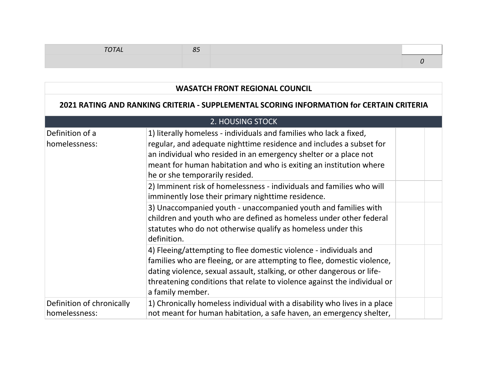| <b>OTAL</b> | <b>- -</b> |  |
|-------------|------------|--|
|             |            |  |

| <b>WASATCH FRONT REGIONAL COUNCIL</b>                                                    |                                                                                                                                                                                                                                                                                                                                                                                                                                                     |  |  |  |  |  |  |  |
|------------------------------------------------------------------------------------------|-----------------------------------------------------------------------------------------------------------------------------------------------------------------------------------------------------------------------------------------------------------------------------------------------------------------------------------------------------------------------------------------------------------------------------------------------------|--|--|--|--|--|--|--|
| 2021 RATING AND RANKING CRITERIA - SUPPLEMENTAL SCORING INFORMATION for CERTAIN CRITERIA |                                                                                                                                                                                                                                                                                                                                                                                                                                                     |  |  |  |  |  |  |  |
|                                                                                          | 2. HOUSING STOCK                                                                                                                                                                                                                                                                                                                                                                                                                                    |  |  |  |  |  |  |  |
| Definition of a<br>homelessness:                                                         | 1) literally homeless - individuals and families who lack a fixed,<br>regular, and adequate nighttime residence and includes a subset for<br>an individual who resided in an emergency shelter or a place not<br>meant for human habitation and who is exiting an institution where<br>he or she temporarily resided.<br>2) Imminent risk of homelessness - individuals and families who will<br>imminently lose their primary nighttime residence. |  |  |  |  |  |  |  |
|                                                                                          | 3) Unaccompanied youth - unaccompanied youth and families with<br>children and youth who are defined as homeless under other federal<br>statutes who do not otherwise qualify as homeless under this<br>definition.                                                                                                                                                                                                                                 |  |  |  |  |  |  |  |
|                                                                                          | 4) Fleeing/attempting to flee domestic violence - individuals and<br>families who are fleeing, or are attempting to flee, domestic violence,<br>dating violence, sexual assault, stalking, or other dangerous or life-<br>threatening conditions that relate to violence against the individual or<br>a family member.                                                                                                                              |  |  |  |  |  |  |  |
| Definition of chronically<br>homelessness:                                               | 1) Chronically homeless individual with a disability who lives in a place<br>not meant for human habitation, a safe haven, an emergency shelter,                                                                                                                                                                                                                                                                                                    |  |  |  |  |  |  |  |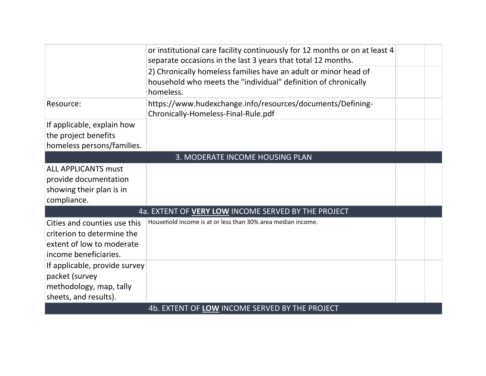|                                                                                                                  | or institutional care facility continuously for 12 months or on at least 4<br>separate occasions in the last 3 years that total 12 months.     |  |  |
|------------------------------------------------------------------------------------------------------------------|------------------------------------------------------------------------------------------------------------------------------------------------|--|--|
|                                                                                                                  | 2) Chronically homeless families have an adult or minor head of<br>household who meets the "individual" definition of chronically<br>homeless. |  |  |
| Resource:                                                                                                        | https://www.hudexchange.info/resources/documents/Defining-<br>Chronically-Homeless-Final-Rule.pdf                                              |  |  |
| If applicable, explain how<br>the project benefits<br>homeless persons/families.                                 |                                                                                                                                                |  |  |
| 3. MODERATE INCOME HOUSING PLAN                                                                                  |                                                                                                                                                |  |  |
| <b>ALL APPLICANTS must</b><br>provide documentation<br>showing their plan is in<br>compliance.                   |                                                                                                                                                |  |  |
| 4a. EXTENT OF VERY LOW INCOME SERVED BY THE PROJECT                                                              |                                                                                                                                                |  |  |
| Cities and counties use this<br>criterion to determine the<br>extent of low to moderate<br>income beneficiaries. | Household income is at or less than 30% area median income.                                                                                    |  |  |
| If applicable, provide survey<br>packet (survey<br>methodology, map, tally<br>sheets, and results).              |                                                                                                                                                |  |  |
|                                                                                                                  | 4b. EXTENT OF LOW INCOME SERVED BY THE PROJECT                                                                                                 |  |  |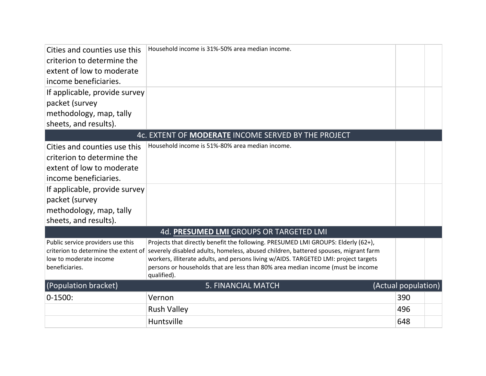| Cities and counties use this<br>criterion to determine the<br>extent of low to moderate<br>income beneficiaries.<br>If applicable, provide survey | Household income is 31%-50% area median income.                                                                                                                                                                                                                                                                                                                    |                     |  |
|---------------------------------------------------------------------------------------------------------------------------------------------------|--------------------------------------------------------------------------------------------------------------------------------------------------------------------------------------------------------------------------------------------------------------------------------------------------------------------------------------------------------------------|---------------------|--|
| packet (survey                                                                                                                                    |                                                                                                                                                                                                                                                                                                                                                                    |                     |  |
| methodology, map, tally<br>sheets, and results).                                                                                                  |                                                                                                                                                                                                                                                                                                                                                                    |                     |  |
|                                                                                                                                                   | 4c. EXTENT OF MODERATE INCOME SERVED BY THE PROJECT                                                                                                                                                                                                                                                                                                                |                     |  |
| Cities and counties use this                                                                                                                      | Household income is 51%-80% area median income.                                                                                                                                                                                                                                                                                                                    |                     |  |
| criterion to determine the                                                                                                                        |                                                                                                                                                                                                                                                                                                                                                                    |                     |  |
| extent of low to moderate                                                                                                                         |                                                                                                                                                                                                                                                                                                                                                                    |                     |  |
| income beneficiaries.                                                                                                                             |                                                                                                                                                                                                                                                                                                                                                                    |                     |  |
| If applicable, provide survey                                                                                                                     |                                                                                                                                                                                                                                                                                                                                                                    |                     |  |
| packet (survey                                                                                                                                    |                                                                                                                                                                                                                                                                                                                                                                    |                     |  |
| methodology, map, tally                                                                                                                           |                                                                                                                                                                                                                                                                                                                                                                    |                     |  |
| sheets, and results).                                                                                                                             |                                                                                                                                                                                                                                                                                                                                                                    |                     |  |
|                                                                                                                                                   | 4d. PRESUMED LMI GROUPS OR TARGETED LMI                                                                                                                                                                                                                                                                                                                            |                     |  |
| Public service providers use this<br>criterion to determine the extent of<br>low to moderate income<br>beneficiaries.                             | Projects that directly benefit the following. PRESUMED LMI GROUPS: Elderly (62+),<br>severely disabled adults, homeless, abused children, battered spouses, migrant farm<br>workers, illiterate adults, and persons living w/AIDS. TARGETED LMI: project targets<br>persons or households that are less than 80% area median income (must be income<br>qualified). |                     |  |
| (Population bracket)                                                                                                                              | <b>5. FINANCIAL MATCH</b>                                                                                                                                                                                                                                                                                                                                          | (Actual population) |  |
| $0 - 1500$ :                                                                                                                                      | Vernon                                                                                                                                                                                                                                                                                                                                                             | 390                 |  |
|                                                                                                                                                   | <b>Rush Valley</b>                                                                                                                                                                                                                                                                                                                                                 | 496                 |  |
|                                                                                                                                                   | Huntsville                                                                                                                                                                                                                                                                                                                                                         | 648                 |  |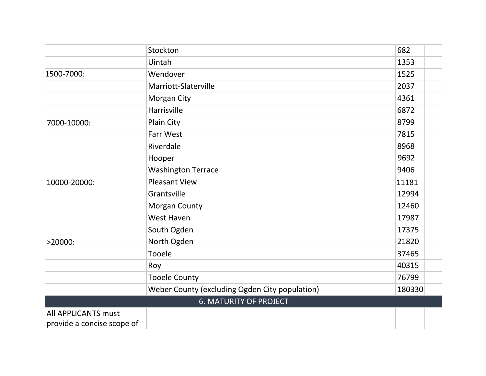|                            | Stockton                                       | 682    |
|----------------------------|------------------------------------------------|--------|
|                            | Uintah                                         | 1353   |
| 1500-7000:                 | Wendover                                       | 1525   |
|                            | Marriott-Slaterville                           | 2037   |
|                            | Morgan City                                    | 4361   |
|                            | Harrisville                                    | 6872   |
| 7000-10000:                | Plain City                                     | 8799   |
|                            | Farr West                                      | 7815   |
|                            | Riverdale                                      | 8968   |
|                            | Hooper                                         | 9692   |
|                            | <b>Washington Terrace</b>                      | 9406   |
| 10000-20000:               | <b>Pleasant View</b>                           | 11181  |
|                            | Grantsville                                    | 12994  |
|                            | <b>Morgan County</b>                           | 12460  |
|                            | West Haven                                     | 17987  |
|                            | South Ogden                                    | 17375  |
| $>20000$ :                 | North Ogden                                    | 21820  |
|                            | Tooele                                         | 37465  |
|                            | Roy                                            | 40315  |
|                            | <b>Tooele County</b>                           | 76799  |
|                            | Weber County (excluding Ogden City population) | 180330 |
|                            | <b>6. MATURITY OF PROJECT</b>                  |        |
| <b>All APPLICANTS must</b> |                                                |        |
| provide a concise scope of |                                                |        |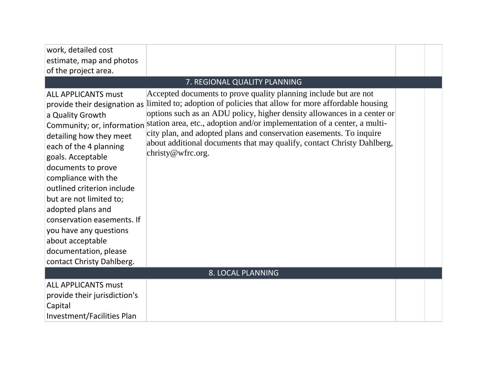| work, detailed cost               |                                                                          |  |  |
|-----------------------------------|--------------------------------------------------------------------------|--|--|
| estimate, map and photos          |                                                                          |  |  |
| of the project area.              |                                                                          |  |  |
|                                   |                                                                          |  |  |
|                                   | 7. REGIONAL QUALITY PLANNING                                             |  |  |
| <b>ALL APPLICANTS must</b>        | Accepted documents to prove quality planning include but are not         |  |  |
| provide their designation as      | limited to; adoption of policies that allow for more affordable housing  |  |  |
| a Quality Growth                  | options such as an ADU policy, higher density allowances in a center or  |  |  |
| Community; or, information        | station area, etc., adoption and/or implementation of a center, a multi- |  |  |
| detailing how they meet           | city plan, and adopted plans and conservation easements. To inquire      |  |  |
| each of the 4 planning            | about additional documents that may qualify, contact Christy Dahlberg,   |  |  |
| goals. Acceptable                 | christy@wfrc.org.                                                        |  |  |
| documents to prove                |                                                                          |  |  |
| compliance with the               |                                                                          |  |  |
| outlined criterion include        |                                                                          |  |  |
| but are not limited to;           |                                                                          |  |  |
| adopted plans and                 |                                                                          |  |  |
| conservation easements. If        |                                                                          |  |  |
| you have any questions            |                                                                          |  |  |
| about acceptable                  |                                                                          |  |  |
| documentation, please             |                                                                          |  |  |
| contact Christy Dahlberg.         |                                                                          |  |  |
| 8. LOCAL PLANNING                 |                                                                          |  |  |
| <b>ALL APPLICANTS must</b>        |                                                                          |  |  |
| provide their jurisdiction's      |                                                                          |  |  |
| Capital                           |                                                                          |  |  |
| <b>Investment/Facilities Plan</b> |                                                                          |  |  |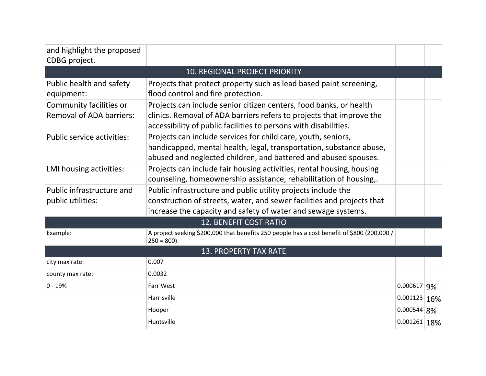| and highlight the proposed<br>CDBG project.                |                                                                                                                                                                                                                |               |  |  |
|------------------------------------------------------------|----------------------------------------------------------------------------------------------------------------------------------------------------------------------------------------------------------------|---------------|--|--|
|                                                            | <b>10. REGIONAL PROJECT PRIORITY</b>                                                                                                                                                                           |               |  |  |
| Public health and safety<br>equipment:                     | Projects that protect property such as lead based paint screening,<br>flood control and fire protection.                                                                                                       |               |  |  |
| Community facilities or<br><b>Removal of ADA barriers:</b> | Projects can include senior citizen centers, food banks, or health<br>clinics. Removal of ADA barriers refers to projects that improve the<br>accessibility of public facilities to persons with disabilities. |               |  |  |
| <b>Public service activities:</b>                          | Projects can include services for child care, youth, seniors,<br>handicapped, mental health, legal, transportation, substance abuse,<br>abused and neglected children, and battered and abused spouses.        |               |  |  |
| LMI housing activities:                                    | Projects can include fair housing activities, rental housing, housing<br>counseling, homeownership assistance, rehabilitation of housing,.                                                                     |               |  |  |
| Public infrastructure and                                  | Public infrastructure and public utility projects include the                                                                                                                                                  |               |  |  |
| public utilities:                                          | construction of streets, water, and sewer facilities and projects that                                                                                                                                         |               |  |  |
|                                                            | increase the capacity and safety of water and sewage systems.                                                                                                                                                  |               |  |  |
|                                                            | 12. BENEFIT COST RATIO                                                                                                                                                                                         |               |  |  |
| Example:                                                   | A project seeking \$200,000 that benefits 250 people has a cost benefit of \$800 (200,000 /<br>$250 = 800$ ).                                                                                                  |               |  |  |
| <b>13. PROPERTY TAX RATE</b>                               |                                                                                                                                                                                                                |               |  |  |
| city max rate:                                             | 0.007                                                                                                                                                                                                          |               |  |  |
| county max rate:                                           | 0.0032                                                                                                                                                                                                         |               |  |  |
| $0 - 19%$                                                  | Farr West                                                                                                                                                                                                      | 0.000617 9%   |  |  |
|                                                            | Harrisville                                                                                                                                                                                                    | 0.001123 16%  |  |  |
|                                                            | Hooper                                                                                                                                                                                                         | $0.000544$ 8% |  |  |
|                                                            | Huntsville                                                                                                                                                                                                     | 0.001261 18%  |  |  |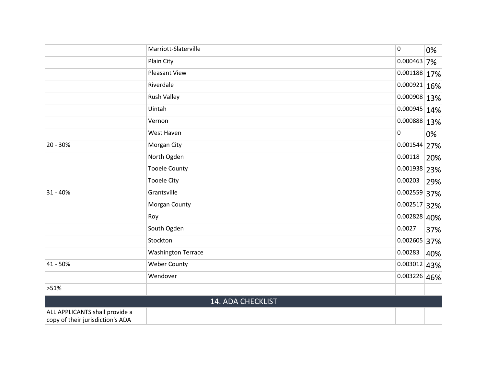|                                                                    | Marriott-Slaterville      | $\mathbf 0$       | 0%  |
|--------------------------------------------------------------------|---------------------------|-------------------|-----|
|                                                                    | Plain City                | 0.000463          | 7%  |
|                                                                    | <b>Pleasant View</b>      | $ 0.001188 17\% $ |     |
|                                                                    | Riverdale                 | $ 0.000921 16\% $ |     |
|                                                                    | Rush Valley               | $ 0.000908 13\% $ |     |
|                                                                    | Uintah                    | $ 0.000945 14\% $ |     |
|                                                                    | Vernon                    | 0.000888 13%      |     |
|                                                                    | West Haven                | $\pmb{0}$         | 0%  |
| 20 - 30%                                                           | Morgan City               | 0.001544 27%      |     |
|                                                                    | North Ogden               | 0.00118           | 20% |
|                                                                    | <b>Tooele County</b>      | 0.001938 23%      |     |
|                                                                    | <b>Tooele City</b>        | 0.00203           | 29% |
| $31 - 40%$                                                         | Grantsville               | 0.002559 37%      |     |
|                                                                    | Morgan County             | $0.002517$ 32%    |     |
|                                                                    | Roy                       | $ 0.002828 40\% $ |     |
|                                                                    | South Ogden               | 0.0027            | 37% |
|                                                                    | Stockton                  | 0.002605 37%      |     |
|                                                                    | <b>Washington Terrace</b> | 0.00283           | 40% |
| 41 - 50%                                                           | <b>Weber County</b>       | 0.003012 43%      |     |
|                                                                    | Wendover                  | 0.003226 46%      |     |
| >51%                                                               |                           |                   |     |
|                                                                    | 14. ADA CHECKLIST         |                   |     |
| ALL APPLICANTS shall provide a<br>copy of their jurisdiction's ADA |                           |                   |     |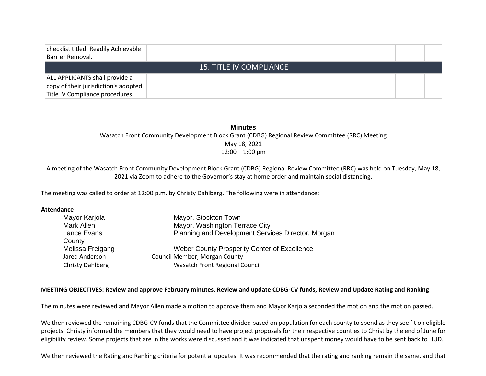| checklist titled, Readily Achievable<br>Barrier Removal.                                                  |                                |  |
|-----------------------------------------------------------------------------------------------------------|--------------------------------|--|
|                                                                                                           | <b>15. TITLE IV COMPLIANCE</b> |  |
| ALL APPLICANTS shall provide a<br>copy of their jurisdiction's adopted<br>Title IV Compliance procedures. |                                |  |

**Minutes** Wasatch Front Community Development Block Grant (CDBG) Regional Review Committee (RRC) Meeting May 18, 2021 12:00 – 1:00 pm

A meeting of the Wasatch Front Community Development Block Grant (CDBG) Regional Review Committee (RRC) was held on Tuesday, May 18, 2021 via Zoom to adhere to the Governor's stay at home order and maintain social distancing.

The meeting was called to order at 12:00 p.m. by Christy Dahlberg. The following were in attendance:

#### **Attendance**

| Mayor Karjola           | Mayor, Stockton Town                               |
|-------------------------|----------------------------------------------------|
| Mark Allen              | Mayor, Washington Terrace City                     |
| Lance Evans             | Planning and Development Services Director, Morgan |
| County                  |                                                    |
| Melissa Freigang        | Weber County Prosperity Center of Excellence       |
| Jared Anderson          | Council Member, Morgan County                      |
| <b>Christy Dahlberg</b> | <b>Wasatch Front Regional Council</b>              |
|                         |                                                    |

#### **MEETING OBJECTIVES: Review and approve February minutes, Review and update CDBG-CV funds, Review and Update Rating and Ranking**

The minutes were reviewed and Mayor Allen made a motion to approve them and Mayor Karjola seconded the motion and the motion passed.

We then reviewed the remaining CDBG-CV funds that the Committee divided based on population for each county to spend as they see fit on eligible projects. Christy informed the members that they would need to have project proposals for their respective counties to Christ by the end of June for eligibility review. Some projects that are in the works were discussed and it was indicated that unspent money would have to be sent back to HUD.

We then reviewed the Rating and Ranking criteria for potential updates. It was recommended that the rating and ranking remain the same, and that